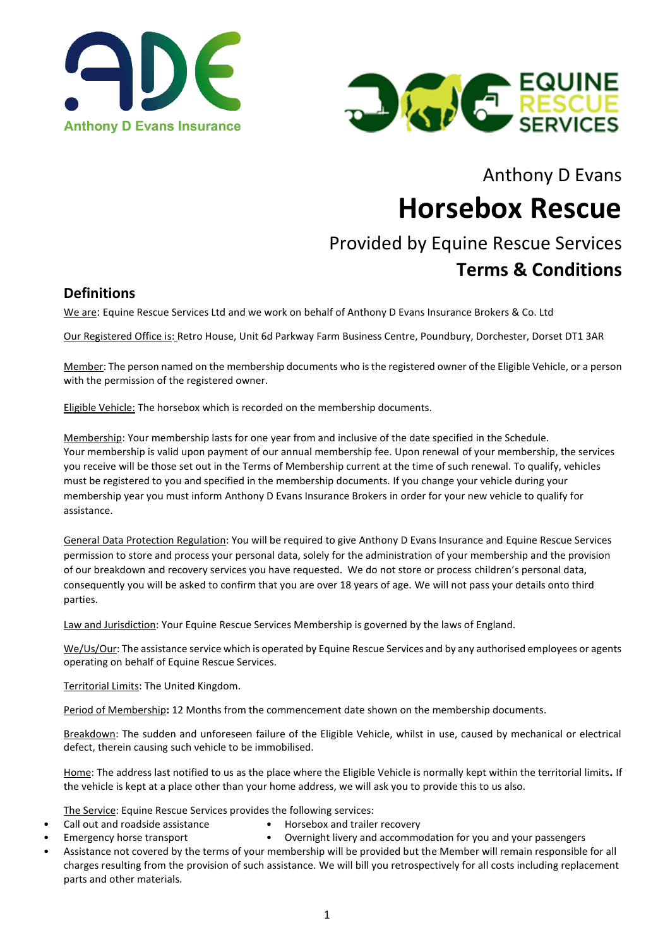



Anthony D Evans

# **Horsebox Rescue**

# Provided by Equine Rescue Services **Terms & Conditions**

## **Definitions**

We are: Equine Rescue Services Ltd and we work on behalf of Anthony D Evans Insurance Brokers & Co. Ltd

Our Registered Office is: Retro House, Unit 6d Parkway Farm Business Centre, Poundbury, Dorchester, Dorset DT1 3AR

Member: The person named on the membership documents who is the registered owner of the Eligible Vehicle, or a person with the permission of the registered owner.

Eligible Vehicle: The horsebox which is recorded on the membership documents.

Membership: Your membership lasts for one year from and inclusive of the date specified in the Schedule. Your membership is valid upon payment of our annual membership fee. Upon renewal of your membership, the services you receive will be those set out in the Terms of Membership current at the time of such renewal. To qualify, vehicles must be registered to you and specified in the membership documents. If you change your vehicle during your membership year you must inform Anthony D Evans Insurance Brokers in order for your new vehicle to qualify for assistance.

General Data Protection Regulation: You will be required to give Anthony D Evans Insurance and Equine Rescue Services permission to store and process your personal data, solely for the administration of your membership and the provision of our breakdown and recovery services you have requested. We do not store or process children's personal data, consequently you will be asked to confirm that you are over 18 years of age. We will not pass your details onto third parties.

Law and Jurisdiction: Your Equine Rescue Services Membership is governed by the laws of England.

We/Us/Our: The assistance service which is operated by Equine Rescue Services and by any authorised employees or agents operating on behalf of Equine Rescue Services.

Territorial Limits: The United Kingdom.

Period of Membership**:** 12 Months from the commencement date shown on the membership documents.

Breakdown: The sudden and unforeseen failure of the Eligible Vehicle, whilst in use, caused by mechanical or electrical defect, therein causing such vehicle to be immobilised.

Home: The address last notified to us as the place where the Eligible Vehicle is normally kept within the territorial limits**.** If the vehicle is kept at a place other than your home address, we will ask you to provide this to us also.

The Service: Equine Rescue Services provides the following services:

- Call out and roadside assistance Horsebox and trailer recovery
- Emergency horse transport Overnight livery and accommodation for you and your passengers
- Assistance not covered by the terms of your membership will be provided but the Member will remain responsible for all charges resulting from the provision of such assistance. We will bill you retrospectively for all costs including replacement parts and other materials.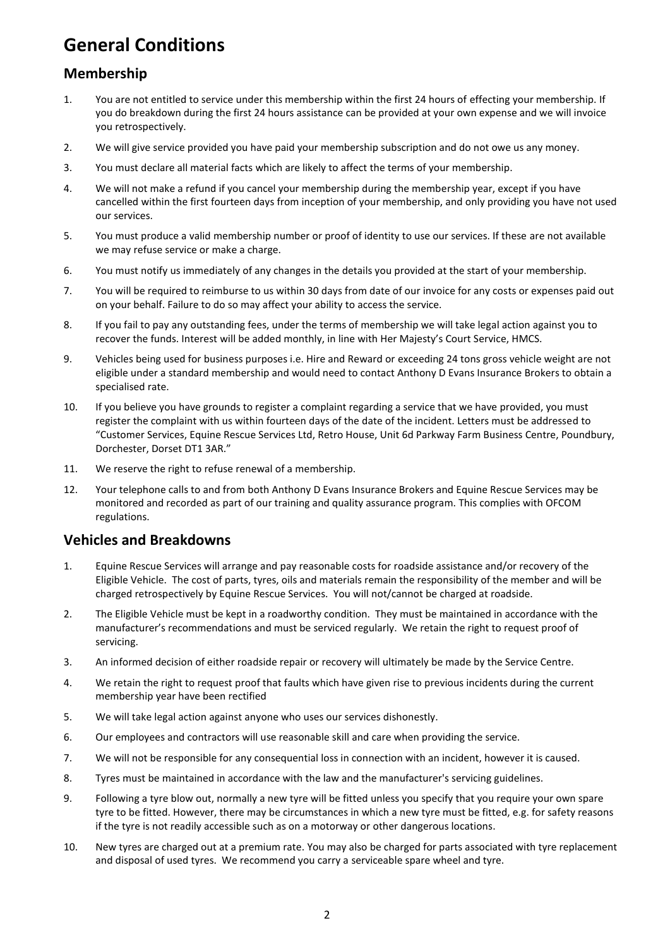# **General Conditions**

# **Membership**

- 1. You are not entitled to service under this membership within the first 24 hours of effecting your membership. If you do breakdown during the first 24 hours assistance can be provided at your own expense and we will invoice you retrospectively.
- 2. We will give service provided you have paid your membership subscription and do not owe us any money.
- 3. You must declare all material facts which are likely to affect the terms of your membership.
- 4. We will not make a refund if you cancel your membership during the membership year, except if you have cancelled within the first fourteen days from inception of your membership, and only providing you have not used our services.
- 5. You must produce a valid membership number or proof of identity to use our services. If these are not available we may refuse service or make a charge.
- 6. You must notify us immediately of any changes in the details you provided at the start of your membership.
- 7. You will be required to reimburse to us within 30 days from date of our invoice for any costs or expenses paid out on your behalf. Failure to do so may affect your ability to access the service.
- 8. If you fail to pay any outstanding fees, under the terms of membership we will take legal action against you to recover the funds. Interest will be added monthly, in line with Her Majesty's Court Service, HMCS.
- 9. Vehicles being used for business purposes i.e. Hire and Reward or exceeding 24 tons gross vehicle weight are not eligible under a standard membership and would need to contact Anthony D Evans Insurance Brokers to obtain a specialised rate.
- 10. If you believe you have grounds to register a complaint regarding a service that we have provided, you must register the complaint with us within fourteen days of the date of the incident. Letters must be addressed to "Customer Services, Equine Rescue Services Ltd, Retro House, Unit 6d Parkway Farm Business Centre, Poundbury, Dorchester, Dorset DT1 3AR."
- 11. We reserve the right to refuse renewal of a membership.
- 12. Your telephone calls to and from both Anthony D Evans Insurance Brokers and Equine Rescue Services may be monitored and recorded as part of our training and quality assurance program. This complies with OFCOM regulations.

# **Vehicles and Breakdowns**

- 1. Equine Rescue Services will arrange and pay reasonable costs for roadside assistance and/or recovery of the Eligible Vehicle. The cost of parts, tyres, oils and materials remain the responsibility of the member and will be charged retrospectively by Equine Rescue Services. You will not/cannot be charged at roadside.
- 2. The Eligible Vehicle must be kept in a roadworthy condition. They must be maintained in accordance with the manufacturer's recommendations and must be serviced regularly. We retain the right to request proof of servicing.
- 3. An informed decision of either roadside repair or recovery will ultimately be made by the Service Centre.
- 4. We retain the right to request proof that faults which have given rise to previous incidents during the current membership year have been rectified
- 5. We will take legal action against anyone who uses our services dishonestly.
- 6. Our employees and contractors will use reasonable skill and care when providing the service.
- 7. We will not be responsible for any consequential loss in connection with an incident, however it is caused.
- 8. Tyres must be maintained in accordance with the law and the manufacturer's servicing guidelines.
- 9. Following a tyre blow out, normally a new tyre will be fitted unless you specify that you require your own spare tyre to be fitted. However, there may be circumstances in which a new tyre must be fitted, e.g. for safety reasons if the tyre is not readily accessible such as on a motorway or other dangerous locations.
- 10. New tyres are charged out at a premium rate. You may also be charged for parts associated with tyre replacement and disposal of used tyres. We recommend you carry a serviceable spare wheel and tyre.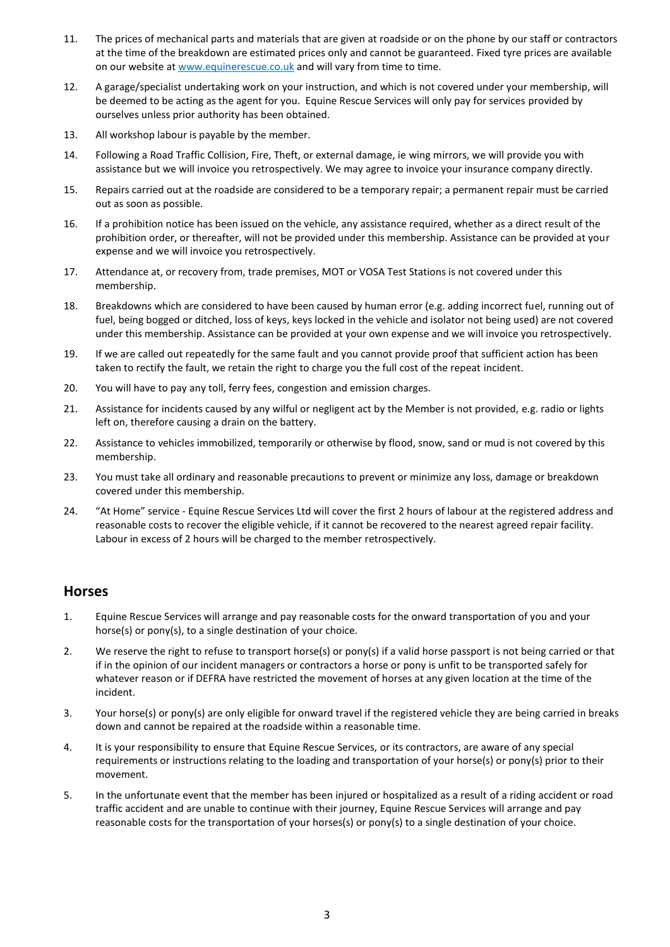- 11. The prices of mechanical parts and materials that are given at roadside or on the phone by our staff or contractors at the time of the breakdown are estimated prices only and cannot be guaranteed. Fixed tyre prices are available on our website a[t www.equinerescue.co.uk](http://www.equinerescue.co.uk/) and will vary from time to time.
- 12. A garage/specialist undertaking work on your instruction, and which is not covered under your membership, will be deemed to be acting as the agent for you. Equine Rescue Services will only pay for services provided by ourselves unless prior authority has been obtained.
- 13. All workshop labour is payable by the member.
- 14. Following a Road Traffic Collision, Fire, Theft, or external damage, ie wing mirrors, we will provide you with assistance but we will invoice you retrospectively. We may agree to invoice your insurance company directly.
- 15. Repairs carried out at the roadside are considered to be a temporary repair; a permanent repair must be carried out as soon as possible.
- 16. If a prohibition notice has been issued on the vehicle, any assistance required, whether as a direct result of the prohibition order, or thereafter, will not be provided under this membership. Assistance can be provided at your expense and we will invoice you retrospectively.
- 17. Attendance at, or recovery from, trade premises, MOT or VOSA Test Stations is not covered under this membership.
- 18. Breakdowns which are considered to have been caused by human error (e.g. adding incorrect fuel, running out of fuel, being bogged or ditched, loss of keys, keys locked in the vehicle and isolator not being used) are not covered under this membership. Assistance can be provided at your own expense and we will invoice you retrospectively.
- 19. If we are called out repeatedly for the same fault and you cannot provide proof that sufficient action has been taken to rectify the fault, we retain the right to charge you the full cost of the repeat incident.
- 20. You will have to pay any toll, ferry fees, congestion and emission charges.
- 21. Assistance for incidents caused by any wilful or negligent act by the Member is not provided, e.g. radio or lights left on, therefore causing a drain on the battery.
- 22. Assistance to vehicles immobilized, temporarily or otherwise by flood, snow, sand or mud is not covered by this membership.
- 23. You must take all ordinary and reasonable precautions to prevent or minimize any loss, damage or breakdown covered under this membership.
- 24. "At Home" service Equine Rescue Services Ltd will cover the first 2 hours of labour at the registered address and reasonable costs to recover the eligible vehicle, if it cannot be recovered to the nearest agreed repair facility. Labour in excess of 2 hours will be charged to the member retrospectively.

#### **Horses**

- 1. Equine Rescue Services will arrange and pay reasonable costs for the onward transportation of you and your horse(s) or pony(s), to a single destination of your choice.
- 2. We reserve the right to refuse to transport horse(s) or pony(s) if a valid horse passport is not being carried or that if in the opinion of our incident managers or contractors a horse or pony is unfit to be transported safely for whatever reason or if DEFRA have restricted the movement of horses at any given location at the time of the incident.
- 3. Your horse(s) or pony(s) are only eligible for onward travel if the registered vehicle they are being carried in breaks down and cannot be repaired at the roadside within a reasonable time.
- 4. It is your responsibility to ensure that Equine Rescue Services, or its contractors, are aware of any special requirements or instructions relating to the loading and transportation of your horse(s) or pony(s) prior to their movement.
- 5. In the unfortunate event that the member has been injured or hospitalized as a result of a riding accident or road traffic accident and are unable to continue with their journey, Equine Rescue Services will arrange and pay reasonable costs for the transportation of your horses(s) or pony(s) to a single destination of your choice.